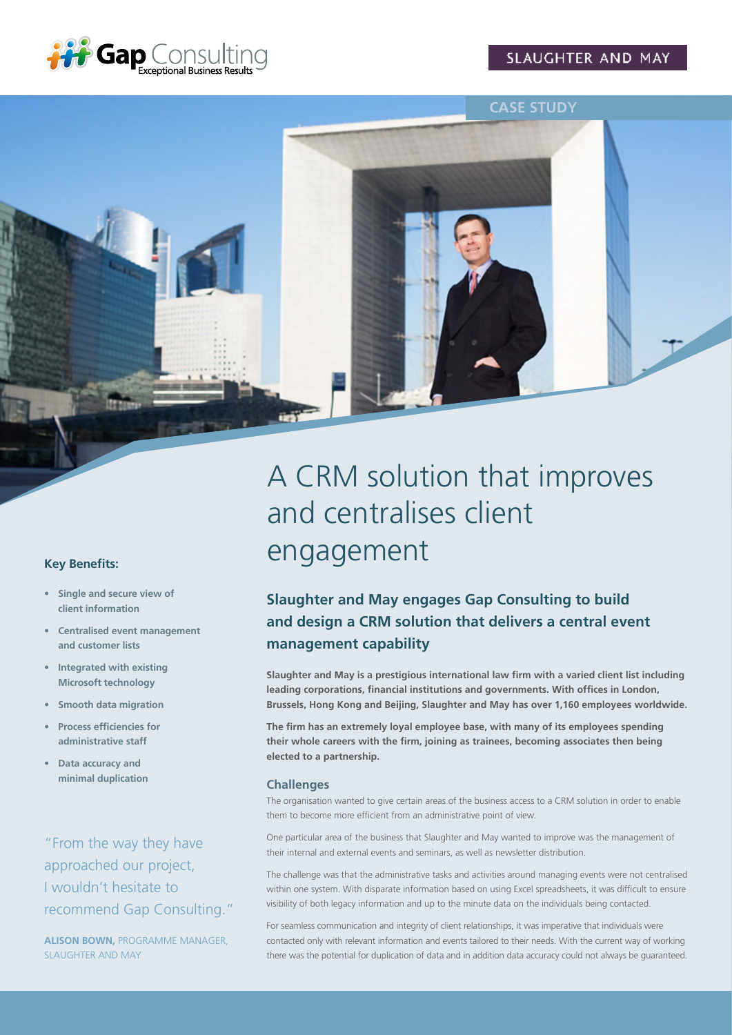

**CASE STUDY**



# A CRM solution that improves and centralises client engagement

# **Slaughter and May engages Gap Consulting to build and design a CRM solution that delivers a central event management capability**

**Slaughter and May is a prestigious international law firm with a varied client list including leading corporations, financial institutions and governments. With offices in London, Brussels, Hong Kong and Beijing, Slaughter and May has over 1,160 employees worldwide.** 

**The firm has an extremely loyal employee base, with many of its employees spending their whole careers with the firm, joining as trainees, becoming associates then being elected to a partnership.**

#### **Challenges**

The organisation wanted to give certain areas of the business access to a CRM solution in order to enable them to become more efficient from an administrative point of view.

One particular area of the business that Slaughter and May wanted to improve was the management of their internal and external events and seminars, as well as newsletter distribution.

The challenge was that the administrative tasks and activities around managing events were not centralised within one system. With disparate information based on using Excel spreadsheets, it was difficult to ensure visibility of both legacy information and up to the minute data on the individuals being contacted.

For seamless communication and integrity of client relationships, it was imperative that individuals were contacted only with relevant information and events tailored to their needs. With the current way of working there was the potential for duplication of data and in addition data accuracy could not always be guaranteed.

#### **Key Benefits:**

- **• Single and secure view of client information**
- **• Centralised event management and customer lists**
- **• Integrated with existing Microsoft technology**
- **• Smooth data migration**
- **• Process efficiencies for administrative staff**
- **• Data accuracy and minimal duplication**

"From the way they have approached our project, I wouldn't hesitate to recommend Gap Consulting."

**ALISON BOWN,** PROGRAMME MANAGER, SLAUGHTER AND MAY